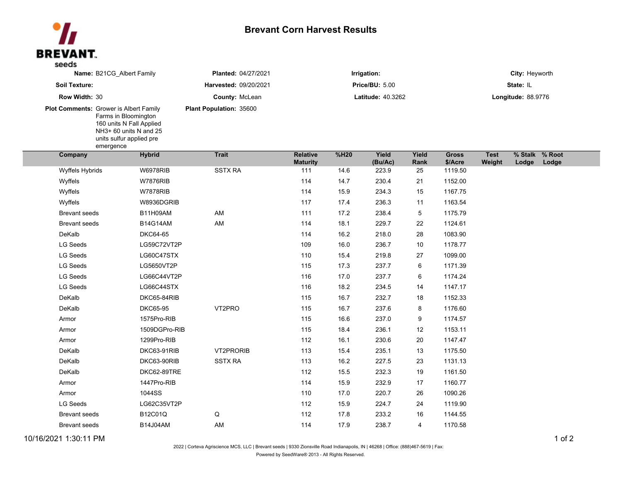## **Brevant Corn Harvest Results**



| Name: B21CG_Albert Family<br>Soil Texture:    |                                                                                                                     | Planted: 04/27/2021     | Irrigation:<br><b>Price/BU: 5.00</b> |      |                  |               | City: Heyworth          |                       |                         |       |  |
|-----------------------------------------------|---------------------------------------------------------------------------------------------------------------------|-------------------------|--------------------------------------|------|------------------|---------------|-------------------------|-----------------------|-------------------------|-------|--|
|                                               |                                                                                                                     | Harvested: 09/20/2021   |                                      |      |                  |               | State: IL               |                       |                         |       |  |
| Row Width: 30                                 |                                                                                                                     | County: McLean          | <b>Latitude: 40.3262</b>             |      |                  |               | Longitude: 88.9776      |                       |                         |       |  |
| <b>Plot Comments: Grower is Albert Family</b> | Farms in Bloomington<br>160 units N Fall Applied<br>NH3+ 60 units N and 25<br>units sulfur applied pre<br>emergence | Plant Population: 35600 |                                      |      |                  |               |                         |                       |                         |       |  |
| Company                                       | <b>Hybrid</b>                                                                                                       | <b>Trait</b>            | <b>Relative</b><br><b>Maturity</b>   | %H20 | Yield<br>(Bu/Ac) | Yield<br>Rank | <b>Gross</b><br>\$/Acre | <b>Test</b><br>Weight | % Stalk % Root<br>Lodge | Lodge |  |
| Wyffels Hybrids                               | <b>W6978RIB</b>                                                                                                     | <b>SSTX RA</b>          | 111                                  | 14.6 | 223.9            | 25            | 1119.50                 |                       |                         |       |  |
| Wyffels                                       | <b>W7876RIB</b>                                                                                                     |                         | 114                                  | 14.7 | 230.4            | 21            | 1152.00                 |                       |                         |       |  |
| Wyffels                                       | <b>W7878RIB</b>                                                                                                     |                         | 114                                  | 15.9 | 234.3            | 15            | 1167.75                 |                       |                         |       |  |
| Wyffels                                       | W8936DGRIB                                                                                                          |                         | 117                                  | 17.4 | 236.3            | 11            | 1163.54                 |                       |                         |       |  |
| <b>Brevant seeds</b>                          | <b>B11H09AM</b>                                                                                                     | AM                      | 111                                  | 17.2 | 238.4            | 5             | 1175.79                 |                       |                         |       |  |
| <b>Brevant seeds</b>                          | <b>B14G14AM</b>                                                                                                     | AM                      | 114                                  | 18.1 | 229.7            | 22            | 1124.61                 |                       |                         |       |  |
| DeKalb                                        | <b>DKC64-65</b>                                                                                                     |                         | 114                                  | 16.2 | 218.0            | 28            | 1083.90                 |                       |                         |       |  |
| <b>LG Seeds</b>                               | LG59C72VT2P                                                                                                         |                         | 109                                  | 16.0 | 236.7            | 10            | 1178.77                 |                       |                         |       |  |
| <b>LG Seeds</b>                               | LG60C47STX                                                                                                          |                         | 110                                  | 15.4 | 219.8            | 27            | 1099.00                 |                       |                         |       |  |
| <b>LG Seeds</b>                               | LG5650VT2P                                                                                                          |                         | 115                                  | 17.3 | 237.7            | 6             | 1171.39                 |                       |                         |       |  |
| <b>LG Seeds</b>                               | LG66C44VT2P                                                                                                         |                         | 116                                  | 17.0 | 237.7            | 6             | 1174.24                 |                       |                         |       |  |
| LG Seeds                                      | LG66C44STX                                                                                                          |                         | 116                                  | 18.2 | 234.5            | 14            | 1147.17                 |                       |                         |       |  |
| DeKalb                                        | DKC65-84RIB                                                                                                         |                         | 115                                  | 16.7 | 232.7            | 18            | 1152.33                 |                       |                         |       |  |
| DeKalb                                        | <b>DKC65-95</b>                                                                                                     | VT2PRO                  | 115                                  | 16.7 | 237.6            | 8             | 1176.60                 |                       |                         |       |  |
| Armor                                         | 1575Pro-RIB                                                                                                         |                         | 115                                  | 16.6 | 237.0            | 9             | 1174.57                 |                       |                         |       |  |
| Armor                                         | 1509DGPro-RIB                                                                                                       |                         | 115                                  | 18.4 | 236.1            | 12            | 1153.11                 |                       |                         |       |  |
| Armor                                         | 1299Pro-RIB                                                                                                         |                         | 112                                  | 16.1 | 230.6            | 20            | 1147.47                 |                       |                         |       |  |
| DeKalb                                        | DKC63-91RIB                                                                                                         | VT2PRORIB               | 113                                  | 15.4 | 235.1            | 13            | 1175.50                 |                       |                         |       |  |
| DeKalb                                        | DKC63-90RIB                                                                                                         | <b>SSTX RA</b>          | 113                                  | 16.2 | 227.5            | 23            | 1131.13                 |                       |                         |       |  |
| DeKalb                                        | DKC62-89TRE                                                                                                         |                         | 112                                  | 15.5 | 232.3            | 19            | 1161.50                 |                       |                         |       |  |
| Armor                                         | 1447Pro-RIB                                                                                                         |                         | 114                                  | 15.9 | 232.9            | 17            | 1160.77                 |                       |                         |       |  |
| Armor                                         | 1044SS                                                                                                              |                         | 110                                  | 17.0 | 220.7            | 26            | 1090.26                 |                       |                         |       |  |
| <b>LG Seeds</b>                               | LG62C35VT2P                                                                                                         |                         | 112                                  | 15.9 | 224.7            | 24            | 1119.90                 |                       |                         |       |  |
| Brevant seeds                                 | B12C01Q                                                                                                             | ${\sf Q}$               | 112                                  | 17.8 | 233.2            | 16            | 1144.55                 |                       |                         |       |  |
| <b>Brevant seeds</b>                          | B14J04AM                                                                                                            | AM                      | 114                                  | 17.9 | 238.7            | 4             | 1170.58                 |                       |                         |       |  |
|                                               |                                                                                                                     |                         |                                      |      |                  |               |                         |                       |                         |       |  |

10/16/2021 1:30:11 PM 1 of 2

2022 | Corteva Agriscience MCS, LLC | Brevant seeds | 9330 Zionsville Road Indianapolis, IN | 46268 | Office: (888)467-5619 | Fax:

Powered by SeedWare® 2013 - All Rights Reserved.